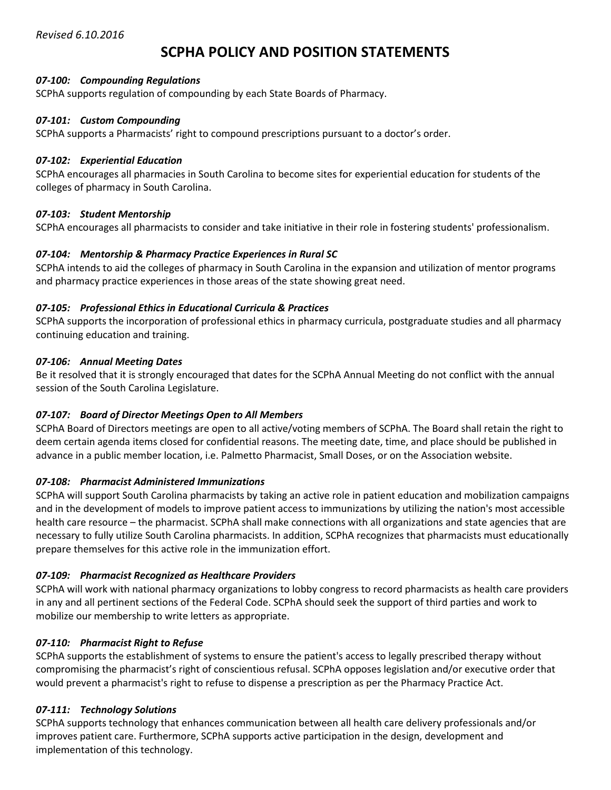# **SCPHA POLICY AND POSITION STATEMENTS**

# *07-100: Compounding Regulations*

SCPhA supports regulation of compounding by each State Boards of Pharmacy.

# *07-101: Custom Compounding*

SCPhA supports a Pharmacists' right to compound prescriptions pursuant to a doctor's order.

### *07-102: Experiential Education*

SCPhA encourages all pharmacies in South Carolina to become sites for experiential education for students of the colleges of pharmacy in South Carolina.

# *07-103: Student Mentorship*

SCPhA encourages all pharmacists to consider and take initiative in their role in fostering students' professionalism.

# *07-104: Mentorship & Pharmacy Practice Experiences in Rural SC*

SCPhA intends to aid the colleges of pharmacy in South Carolina in the expansion and utilization of mentor programs and pharmacy practice experiences in those areas of the state showing great need.

# *07-105: Professional Ethics in Educational Curricula & Practices*

SCPhA supports the incorporation of professional ethics in pharmacy curricula, postgraduate studies and all pharmacy continuing education and training.

# *07-106: Annual Meeting Dates*

Be it resolved that it is strongly encouraged that dates for the SCPhA Annual Meeting do not conflict with the annual session of the South Carolina Legislature.

# *07-107: Board of Director Meetings Open to All Members*

SCPhA Board of Directors meetings are open to all active/voting members of SCPhA. The Board shall retain the right to deem certain agenda items closed for confidential reasons. The meeting date, time, and place should be published in advance in a public member location, i.e. Palmetto Pharmacist, Small Doses, or on the Association website.

# *07-108: Pharmacist Administered Immunizations*

SCPhA will support South Carolina pharmacists by taking an active role in patient education and mobilization campaigns and in the development of models to improve patient access to immunizations by utilizing the nation's most accessible health care resource – the pharmacist. SCPhA shall make connections with all organizations and state agencies that are necessary to fully utilize South Carolina pharmacists. In addition, SCPhA recognizes that pharmacists must educationally prepare themselves for this active role in the immunization effort.

# *07-109: Pharmacist Recognized as Healthcare Providers*

SCPhA will work with national pharmacy organizations to lobby congress to record pharmacists as health care providers in any and all pertinent sections of the Federal Code. SCPhA should seek the support of third parties and work to mobilize our membership to write letters as appropriate.

# *07-110: Pharmacist Right to Refuse*

SCPhA supports the establishment of systems to ensure the patient's access to legally prescribed therapy without compromising the pharmacist's right of conscientious refusal. SCPhA opposes legislation and/or executive order that would prevent a pharmacist's right to refuse to dispense a prescription as per the Pharmacy Practice Act.

# *07-111: Technology Solutions*

SCPhA supports technology that enhances communication between all health care delivery professionals and/or improves patient care. Furthermore, SCPhA supports active participation in the design, development and implementation of this technology.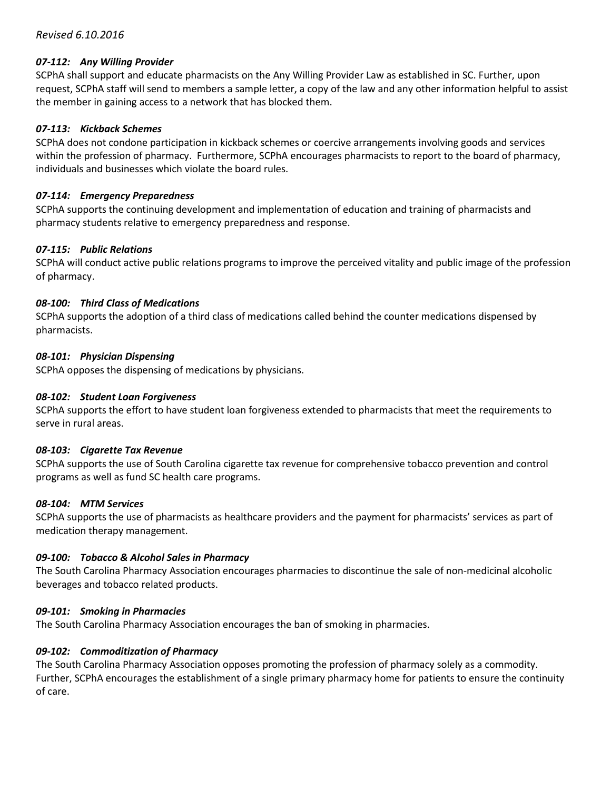# *Revised 6.10.2016*

### *07-112: Any Willing Provider*

SCPhA shall support and educate pharmacists on the Any Willing Provider Law as established in SC. Further, upon request, SCPhA staff will send to members a sample letter, a copy of the law and any other information helpful to assist the member in gaining access to a network that has blocked them.

#### *07-113: Kickback Schemes*

SCPhA does not condone participation in kickback schemes or coercive arrangements involving goods and services within the profession of pharmacy. Furthermore, SCPhA encourages pharmacists to report to the board of pharmacy, individuals and businesses which violate the board rules.

#### *07-114: Emergency Preparedness*

SCPhA supports the continuing development and implementation of education and training of pharmacists and pharmacy students relative to emergency preparedness and response.

#### *07-115: Public Relations*

SCPhA will conduct active public relations programs to improve the perceived vitality and public image of the profession of pharmacy.

#### *08-100: Third Class of Medications*

SCPhA supports the adoption of a third class of medications called behind the counter medications dispensed by pharmacists.

#### *08-101: Physician Dispensing*

SCPhA opposes the dispensing of medications by physicians.

#### *08-102: Student Loan Forgiveness*

SCPhA supports the effort to have student loan forgiveness extended to pharmacists that meet the requirements to serve in rural areas.

#### *08-103: Cigarette Tax Revenue*

SCPhA supports the use of South Carolina cigarette tax revenue for comprehensive tobacco prevention and control programs as well as fund SC health care programs.

#### *08-104: MTM Services*

SCPhA supports the use of pharmacists as healthcare providers and the payment for pharmacists' services as part of medication therapy management.

### *09-100: Tobacco & Alcohol Sales in Pharmacy*

The South Carolina Pharmacy Association encourages pharmacies to discontinue the sale of non-medicinal alcoholic beverages and tobacco related products.

### *09-101: Smoking in Pharmacies*

The South Carolina Pharmacy Association encourages the ban of smoking in pharmacies.

### *09-102: Commoditization of Pharmacy*

The South Carolina Pharmacy Association opposes promoting the profession of pharmacy solely as a commodity. Further, SCPhA encourages the establishment of a single primary pharmacy home for patients to ensure the continuity of care.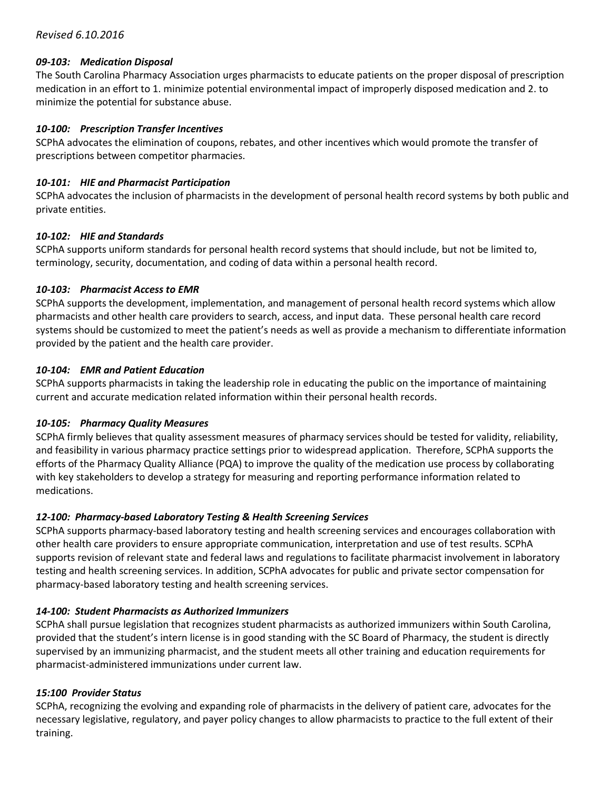# *09-103: Medication Disposal*

The South Carolina Pharmacy Association urges pharmacists to educate patients on the proper disposal of prescription medication in an effort to 1. minimize potential environmental impact of improperly disposed medication and 2. to minimize the potential for substance abuse.

# *10-100: Prescription Transfer Incentives*

SCPhA advocates the elimination of coupons, rebates, and other incentives which would promote the transfer of prescriptions between competitor pharmacies.

# *10-101: HIE and Pharmacist Participation*

SCPhA advocates the inclusion of pharmacists in the development of personal health record systems by both public and private entities.

# *10-102: HIE and Standards*

SCPhA supports uniform standards for personal health record systems that should include, but not be limited to, terminology, security, documentation, and coding of data within a personal health record.

# *10-103: Pharmacist Access to EMR*

SCPhA supports the development, implementation, and management of personal health record systems which allow pharmacists and other health care providers to search, access, and input data. These personal health care record systems should be customized to meet the patient's needs as well as provide a mechanism to differentiate information provided by the patient and the health care provider.

# *10-104: EMR and Patient Education*

SCPhA supports pharmacists in taking the leadership role in educating the public on the importance of maintaining current and accurate medication related information within their personal health records.

# *10-105: Pharmacy Quality Measures*

SCPhA firmly believes that quality assessment measures of pharmacy services should be tested for validity, reliability, and feasibility in various pharmacy practice settings prior to widespread application. Therefore, SCPhA supports the efforts of the Pharmacy Quality Alliance (PQA) to improve the quality of the medication use process by collaborating with key stakeholders to develop a strategy for measuring and reporting performance information related to medications.

# *12-100: Pharmacy-based Laboratory Testing & Health Screening Services*

SCPhA supports pharmacy-based laboratory testing and health screening services and encourages collaboration with other health care providers to ensure appropriate communication, interpretation and use of test results. SCPhA supports revision of relevant state and federal laws and regulations to facilitate pharmacist involvement in laboratory testing and health screening services. In addition, SCPhA advocates for public and private sector compensation for pharmacy-based laboratory testing and health screening services.

# *14-100: Student Pharmacists as Authorized Immunizers*

SCPhA shall pursue legislation that recognizes student pharmacists as authorized immunizers within South Carolina, provided that the student's intern license is in good standing with the SC Board of Pharmacy, the student is directly supervised by an immunizing pharmacist, and the student meets all other training and education requirements for pharmacist-administered immunizations under current law.

# *15:100 Provider Status*

SCPhA, recognizing the evolving and expanding role of pharmacists in the delivery of patient care, advocates for the necessary legislative, regulatory, and payer policy changes to allow pharmacists to practice to the full extent of their training.